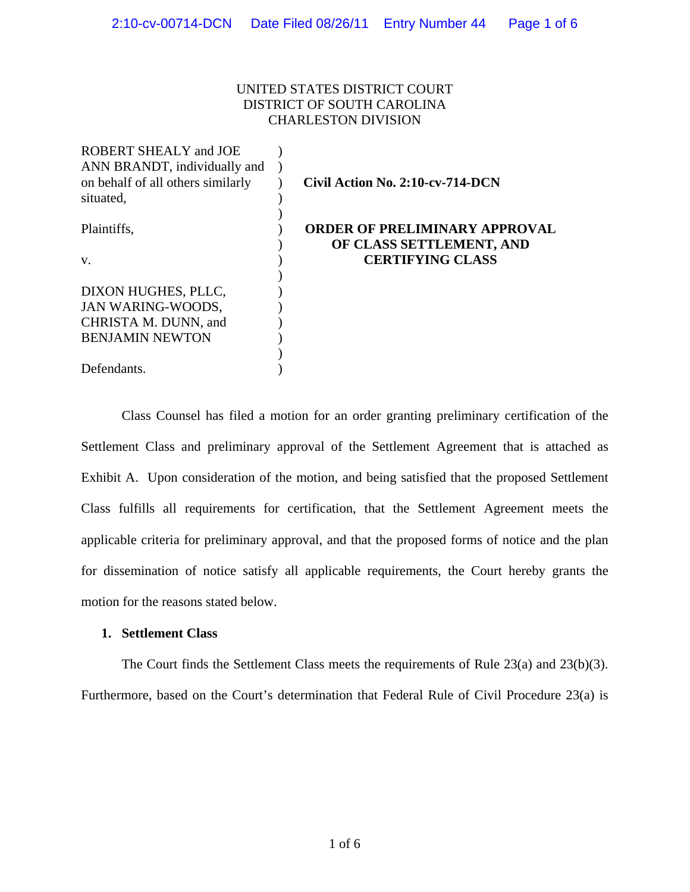# UNITED STATES DISTRICT COURT DISTRICT OF SOUTH CAROLINA CHARLESTON DIVISION

| <b>ROBERT SHEALY and JOE</b>      |                                      |
|-----------------------------------|--------------------------------------|
| ANN BRANDT, individually and      |                                      |
| on behalf of all others similarly | Civil Action No. 2:10-cv-714-DCN     |
| situated,                         |                                      |
|                                   |                                      |
| Plaintiffs,                       | <b>ORDER OF PRELIMINARY APPROVAL</b> |
|                                   | OF CLASS SETTLEMENT, AND             |
| V.                                | <b>CERTIFYING CLASS</b>              |
|                                   |                                      |
| DIXON HUGHES, PLLC,               |                                      |
| <b>JAN WARING-WOODS,</b>          |                                      |
| CHRISTA M. DUNN, and              |                                      |
| <b>BENJAMIN NEWTON</b>            |                                      |
|                                   |                                      |
| Defendants.                       |                                      |

Class Counsel has filed a motion for an order granting preliminary certification of the Settlement Class and preliminary approval of the Settlement Agreement that is attached as Exhibit A. Upon consideration of the motion, and being satisfied that the proposed Settlement Class fulfills all requirements for certification, that the Settlement Agreement meets the applicable criteria for preliminary approval, and that the proposed forms of notice and the plan for dissemination of notice satisfy all applicable requirements, the Court hereby grants the motion for the reasons stated below.

## **1. Settlement Class**

The Court finds the Settlement Class meets the requirements of Rule 23(a) and 23(b)(3). Furthermore, based on the Court's determination that Federal Rule of Civil Procedure 23(a) is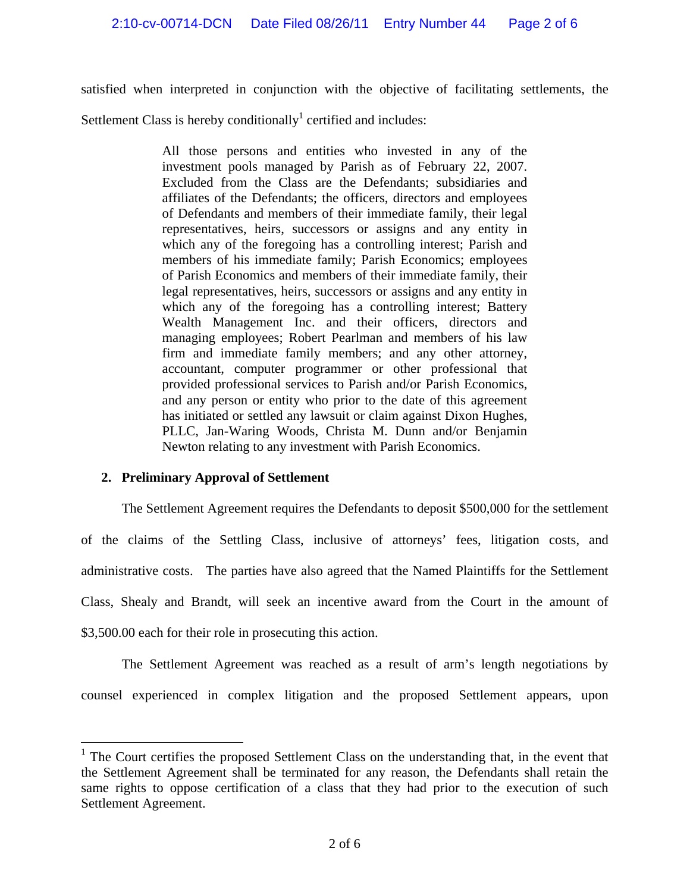satisfied when interpreted in conjunction with the objective of facilitating settlements, the

Settlement Class is hereby conditionally<sup>1</sup> certified and includes:

All those persons and entities who invested in any of the investment pools managed by Parish as of February 22, 2007. Excluded from the Class are the Defendants; subsidiaries and affiliates of the Defendants; the officers, directors and employees of Defendants and members of their immediate family, their legal representatives, heirs, successors or assigns and any entity in which any of the foregoing has a controlling interest; Parish and members of his immediate family; Parish Economics; employees of Parish Economics and members of their immediate family, their legal representatives, heirs, successors or assigns and any entity in which any of the foregoing has a controlling interest; Battery Wealth Management Inc. and their officers, directors and managing employees; Robert Pearlman and members of his law firm and immediate family members; and any other attorney, accountant, computer programmer or other professional that provided professional services to Parish and/or Parish Economics, and any person or entity who prior to the date of this agreement has initiated or settled any lawsuit or claim against Dixon Hughes, PLLC, Jan-Waring Woods, Christa M. Dunn and/or Benjamin Newton relating to any investment with Parish Economics.

# **2. Preliminary Approval of Settlement**

 $\overline{a}$ 

The Settlement Agreement requires the Defendants to deposit \$500,000 for the settlement of the claims of the Settling Class, inclusive of attorneys' fees, litigation costs, and administrative costs. The parties have also agreed that the Named Plaintiffs for the Settlement Class, Shealy and Brandt, will seek an incentive award from the Court in the amount of \$3,500.00 each for their role in prosecuting this action.

The Settlement Agreement was reached as a result of arm's length negotiations by counsel experienced in complex litigation and the proposed Settlement appears, upon

<sup>&</sup>lt;sup>1</sup> The Court certifies the proposed Settlement Class on the understanding that, in the event that the Settlement Agreement shall be terminated for any reason, the Defendants shall retain the same rights to oppose certification of a class that they had prior to the execution of such Settlement Agreement.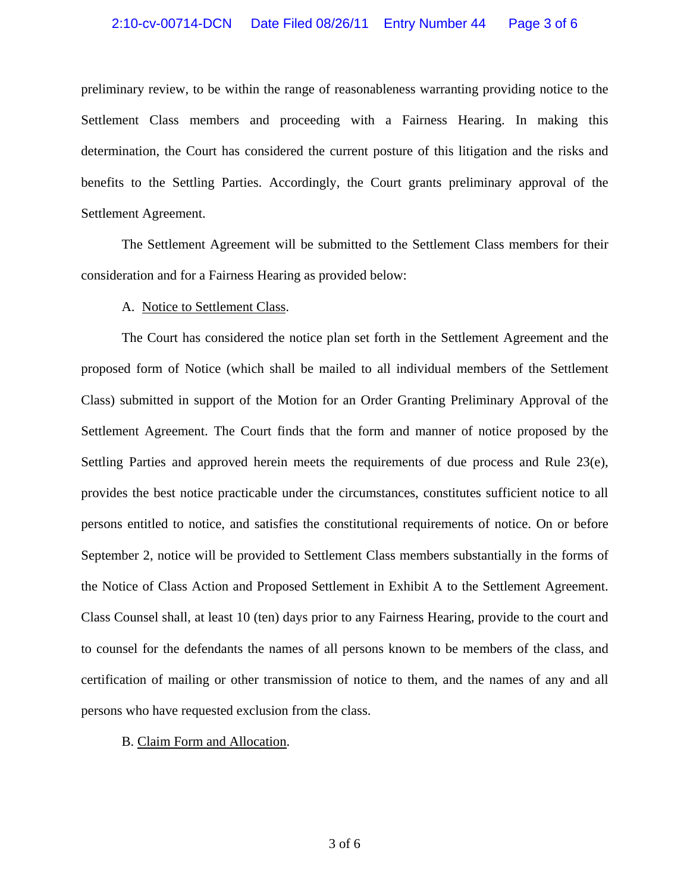## 2:10-cv-00714-DCN Date Filed 08/26/11 Entry Number 44 Page 3 of 6

preliminary review, to be within the range of reasonableness warranting providing notice to the Settlement Class members and proceeding with a Fairness Hearing. In making this determination, the Court has considered the current posture of this litigation and the risks and benefits to the Settling Parties. Accordingly, the Court grants preliminary approval of the Settlement Agreement.

The Settlement Agreement will be submitted to the Settlement Class members for their consideration and for a Fairness Hearing as provided below:

#### A. Notice to Settlement Class.

The Court has considered the notice plan set forth in the Settlement Agreement and the proposed form of Notice (which shall be mailed to all individual members of the Settlement Class) submitted in support of the Motion for an Order Granting Preliminary Approval of the Settlement Agreement. The Court finds that the form and manner of notice proposed by the Settling Parties and approved herein meets the requirements of due process and Rule 23(e), provides the best notice practicable under the circumstances, constitutes sufficient notice to all persons entitled to notice, and satisfies the constitutional requirements of notice. On or before September 2, notice will be provided to Settlement Class members substantially in the forms of the Notice of Class Action and Proposed Settlement in Exhibit A to the Settlement Agreement. Class Counsel shall, at least 10 (ten) days prior to any Fairness Hearing, provide to the court and to counsel for the defendants the names of all persons known to be members of the class, and certification of mailing or other transmission of notice to them, and the names of any and all persons who have requested exclusion from the class.

#### B. Claim Form and Allocation.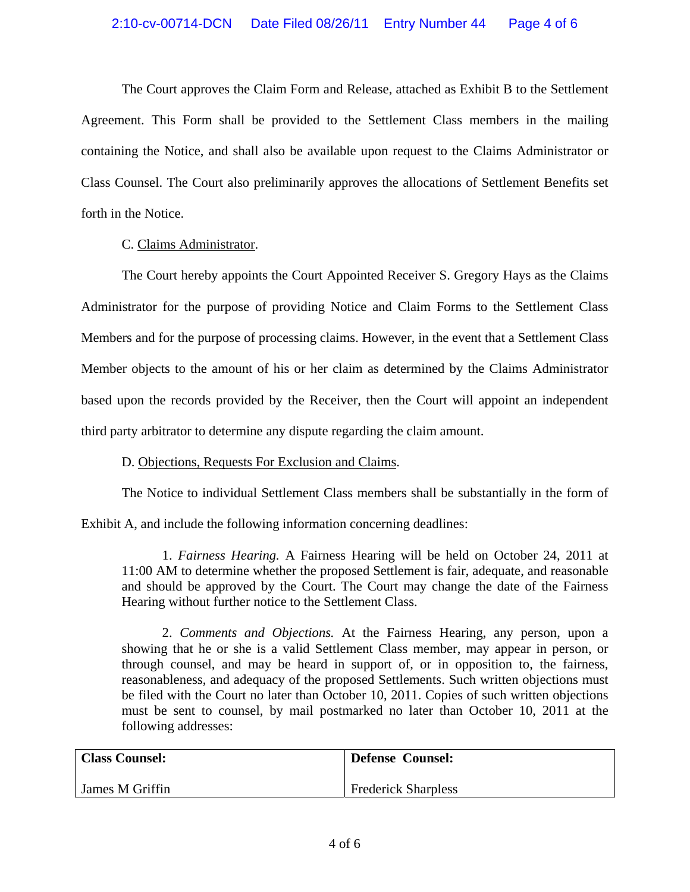The Court approves the Claim Form and Release, attached as Exhibit B to the Settlement Agreement. This Form shall be provided to the Settlement Class members in the mailing containing the Notice, and shall also be available upon request to the Claims Administrator or Class Counsel. The Court also preliminarily approves the allocations of Settlement Benefits set forth in the Notice.

C. Claims Administrator.

The Court hereby appoints the Court Appointed Receiver S. Gregory Hays as the Claims Administrator for the purpose of providing Notice and Claim Forms to the Settlement Class Members and for the purpose of processing claims. However, in the event that a Settlement Class Member objects to the amount of his or her claim as determined by the Claims Administrator based upon the records provided by the Receiver, then the Court will appoint an independent third party arbitrator to determine any dispute regarding the claim amount.

# D. Objections, Requests For Exclusion and Claims.

The Notice to individual Settlement Class members shall be substantially in the form of

Exhibit A, and include the following information concerning deadlines:

1. *Fairness Hearing.* A Fairness Hearing will be held on October 24, 2011 at 11:00 AM to determine whether the proposed Settlement is fair, adequate, and reasonable and should be approved by the Court. The Court may change the date of the Fairness Hearing without further notice to the Settlement Class.

2. *Comments and Objections.* At the Fairness Hearing, any person, upon a showing that he or she is a valid Settlement Class member, may appear in person, or through counsel, and may be heard in support of, or in opposition to, the fairness, reasonableness, and adequacy of the proposed Settlements. Such written objections must be filed with the Court no later than October 10, 2011. Copies of such written objections must be sent to counsel, by mail postmarked no later than October 10, 2011 at the following addresses:

| <b>Class Counsel:</b> | <b>Defense Counsel:</b>    |
|-----------------------|----------------------------|
| James M Griffin       | <b>Frederick Sharpless</b> |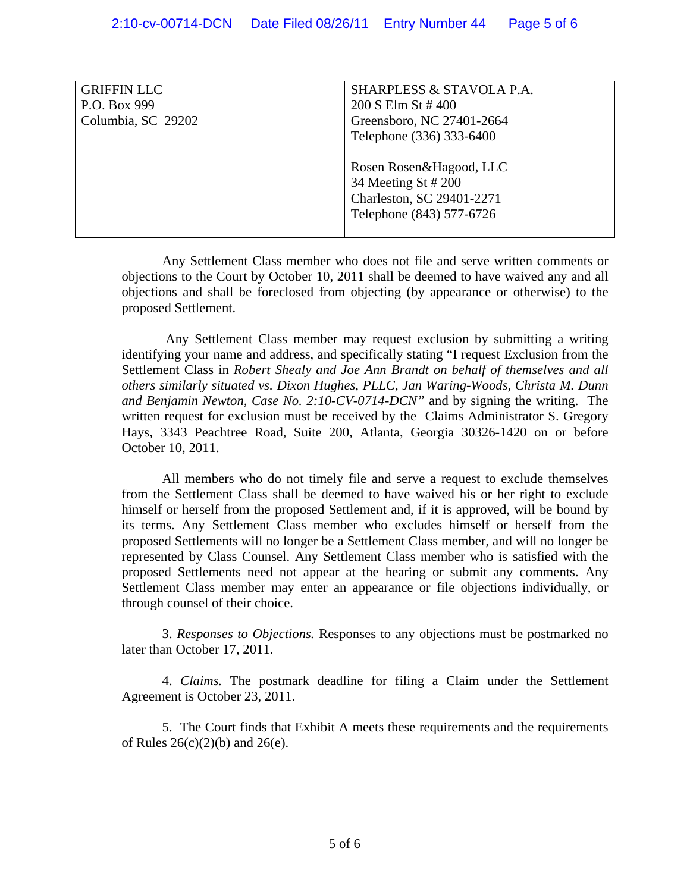| <b>GRIFFIN LLC</b> | SHARPLESS & STAVOLA P.A.                                                                                |
|--------------------|---------------------------------------------------------------------------------------------------------|
| P.O. Box 999       | 200 S Elm St #400                                                                                       |
| Columbia, SC 29202 | Greensboro, NC 27401-2664                                                                               |
|                    | Telephone (336) 333-6400                                                                                |
|                    | Rosen Rosen&Hagood, LLC<br>34 Meeting St # 200<br>Charleston, SC 29401-2271<br>Telephone (843) 577-6726 |

Any Settlement Class member who does not file and serve written comments or objections to the Court by October 10, 2011 shall be deemed to have waived any and all objections and shall be foreclosed from objecting (by appearance or otherwise) to the proposed Settlement.

 Any Settlement Class member may request exclusion by submitting a writing identifying your name and address, and specifically stating "I request Exclusion from the Settlement Class in *Robert Shealy and Joe Ann Brandt on behalf of themselves and all others similarly situated vs. Dixon Hughes, PLLC, Jan Waring-Woods, Christa M. Dunn and Benjamin Newton, Case No. 2:10-CV-0714-DCN"* and by signing the writing. The written request for exclusion must be received by the Claims Administrator S. Gregory Hays, 3343 Peachtree Road, Suite 200, Atlanta, Georgia 30326-1420 on or before October 10, 2011.

All members who do not timely file and serve a request to exclude themselves from the Settlement Class shall be deemed to have waived his or her right to exclude himself or herself from the proposed Settlement and, if it is approved, will be bound by its terms. Any Settlement Class member who excludes himself or herself from the proposed Settlements will no longer be a Settlement Class member, and will no longer be represented by Class Counsel. Any Settlement Class member who is satisfied with the proposed Settlements need not appear at the hearing or submit any comments. Any Settlement Class member may enter an appearance or file objections individually, or through counsel of their choice.

3. *Responses to Objections.* Responses to any objections must be postmarked no later than October 17, 2011.

4. *Claims.* The postmark deadline for filing a Claim under the Settlement Agreement is October 23, 2011.

5. The Court finds that Exhibit A meets these requirements and the requirements of Rules 26(c)(2)(b) and 26(e).